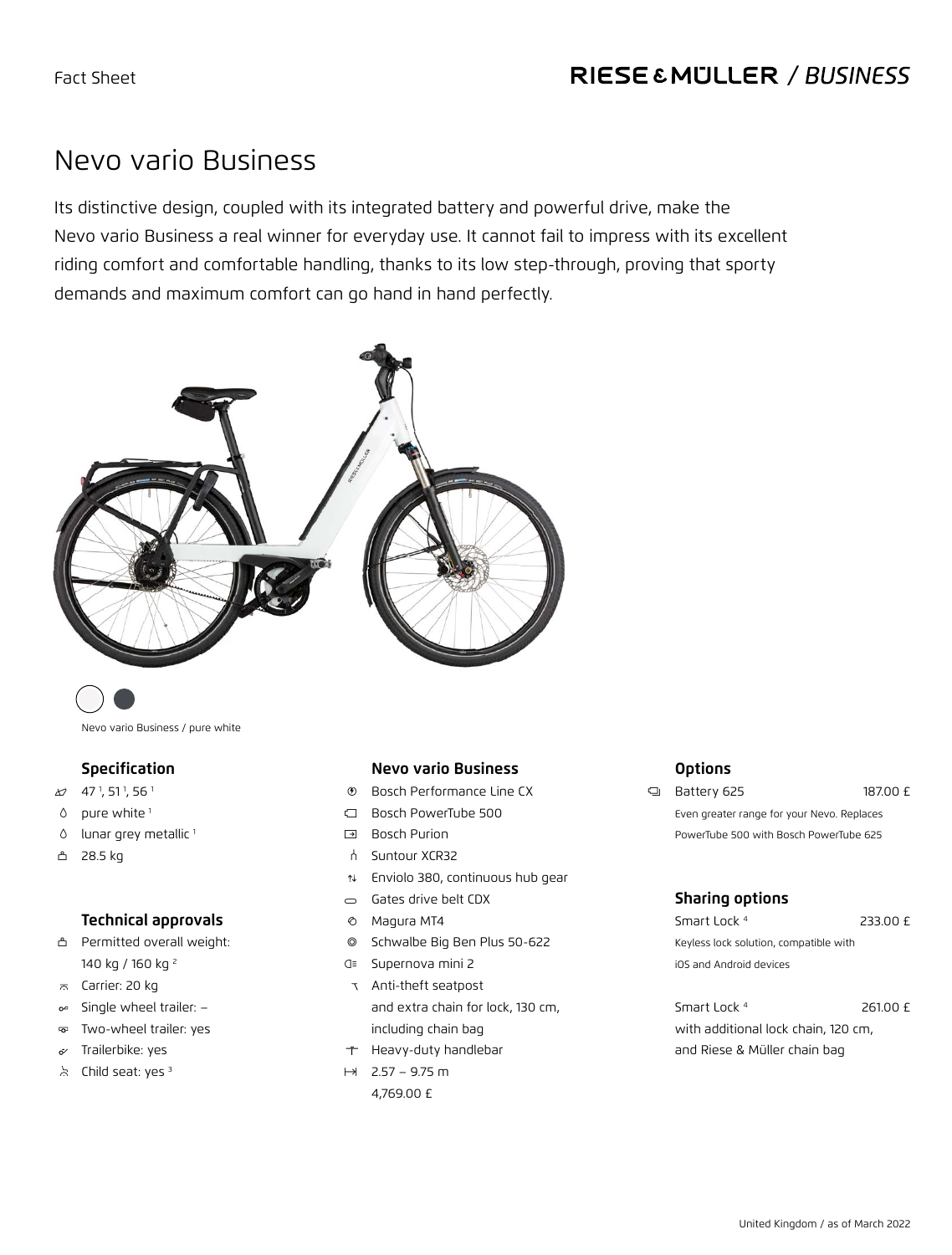### RIESE & MULLER / BUSINESS

## Nevo vario Business

Its distinctive design, coupled with its integrated battery and powerful drive, make the Nevo vario Business a real winner for everyday use. It cannot fail to impress with its excellent riding comfort and comfortable handling, thanks to its low step-through, proving that sporty demands and maximum comfort can go hand in hand perfectly.



Nevo vario Business / pure white

#### **Specification**

- $\text{20}$  47<sup>1</sup>, 51<sup>1</sup>, 56<sup>1</sup>
- $0$  pure white  $1$
- $0$  lunar grey metallic  $1$
- v 28.5 kg

#### **Technical approvals**

- v Permitted overall weight: 140 kg / 160 kg 2
- $\pi$  Carrier: 20 kg
- Single wheel trailer:  $\circ$ <sup>2</sup>
- Two-wheel trailer: yes  $\overline{\mathrm{c}}$
- Trailerbike: yes  $\dot{\sigma}$
- $\lambda$  Child seat: yes  $3$

#### **Nevo vario Business**

- 1 Bosch Performance Line CX
- c Bosch PowerTube 500
- g Bosch Purion
- h Suntour XCR32
- b Enviolo 380, continuous hub gear
- $\overline{\phantom{a}}$  Gates drive belt CDX
- $\circ$  Magura MT4
- 7 Schwalbe Big Ben Plus 50-622
- z Supernova mini 2
- Anti-theft seatpost and extra chain for lock, 130 cm, including chain bag
- $\tau$  Heavy-duty handlebar
- $H$  2.57 9.75 m 4,769.00 £

#### **Options**

k Battery 625 187.00 £ Even greater range for your Nevo. Replaces PowerTube 500 with Bosch PowerTube 625

#### **Sharing options**

| Smart Lock 4                           | 233.00 £ |
|----------------------------------------|----------|
| Keyless lock solution, compatible with |          |
| iOS and Android devices                |          |

Smart Lock<sup>4</sup> 261.00 £ with additional lock chain, 120 cm, and Riese & Müller chain bag